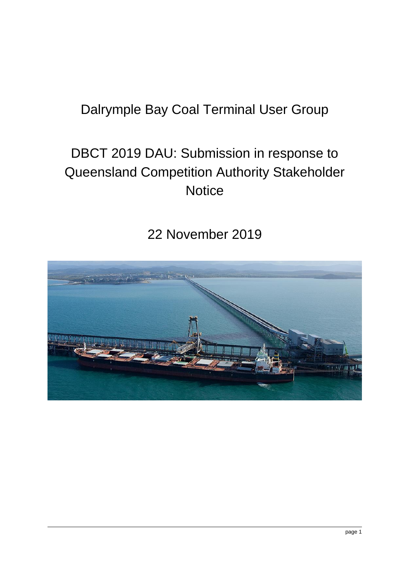# Dalrymple Bay Coal Terminal User Group

# DBCT 2019 DAU: Submission in response to Queensland Competition Authority Stakeholder **Notice**

# 22 November 2019

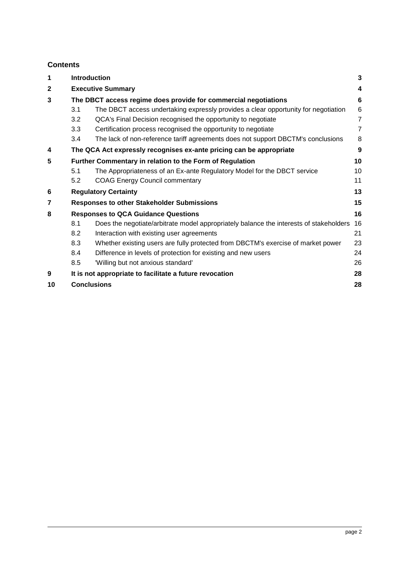# **Contents**

| 1                                                             |                                                                 | <b>Introduction</b><br>3                                                               |                |  |
|---------------------------------------------------------------|-----------------------------------------------------------------|----------------------------------------------------------------------------------------|----------------|--|
| $\mathbf{2}$                                                  |                                                                 | <b>Executive Summary</b>                                                               |                |  |
| 3                                                             | The DBCT access regime does provide for commercial negotiations |                                                                                        |                |  |
|                                                               | 3.1                                                             | The DBCT access undertaking expressly provides a clear opportunity for negotiation     | 6              |  |
|                                                               | 3.2                                                             | QCA's Final Decision recognised the opportunity to negotiate                           | $\overline{7}$ |  |
|                                                               | 3.3                                                             | Certification process recognised the opportunity to negotiate                          | $\overline{7}$ |  |
|                                                               | 3.4                                                             | The lack of non-reference tariff agreements does not support DBCTM's conclusions       | 8              |  |
| 4                                                             |                                                                 | The QCA Act expressly recognises ex-ante pricing can be appropriate                    | 9              |  |
| 5<br>Further Commentary in relation to the Form of Regulation |                                                                 |                                                                                        | 10             |  |
|                                                               | 5.1                                                             | The Appropriateness of an Ex-ante Regulatory Model for the DBCT service                | 10             |  |
|                                                               | 5.2                                                             | <b>COAG Energy Council commentary</b>                                                  | 11             |  |
| 6                                                             |                                                                 | <b>Regulatory Certainty</b>                                                            | 13             |  |
| 7                                                             |                                                                 | 15<br><b>Responses to other Stakeholder Submissions</b>                                |                |  |
| 8                                                             |                                                                 | <b>Responses to QCA Guidance Questions</b>                                             | 16             |  |
|                                                               | 8.1                                                             | Does the negotiate/arbitrate model appropriately balance the interests of stakeholders | 16             |  |
|                                                               | 8.2                                                             | Interaction with existing user agreements                                              | 21             |  |
|                                                               | 8.3                                                             | Whether existing users are fully protected from DBCTM's exercise of market power       | 23             |  |
|                                                               | 8.4                                                             | Difference in levels of protection for existing and new users                          | 24             |  |
|                                                               | 8.5                                                             | 'Willing but not anxious standard'                                                     | 26             |  |
| 9                                                             |                                                                 | It is not appropriate to facilitate a future revocation                                | 28             |  |
| 10                                                            | <b>Conclusions</b>                                              |                                                                                        | 28             |  |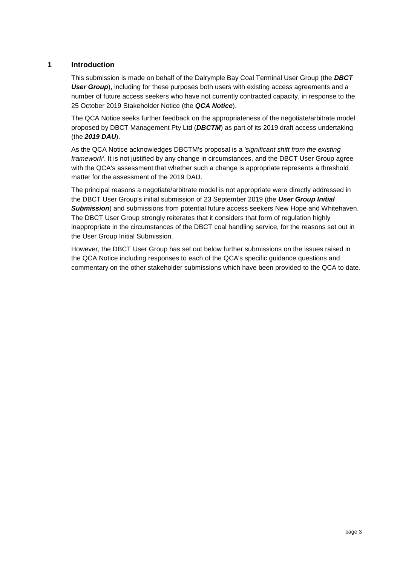### <span id="page-2-0"></span>**1 Introduction**

This submission is made on behalf of the Dalrymple Bay Coal Terminal User Group (the *DBCT*  **User Group**), including for these purposes both users with existing access agreements and a number of future access seekers who have not currently contracted capacity, in response to the 25 October 2019 Stakeholder Notice (the *QCA Notice*).

The QCA Notice seeks further feedback on the appropriateness of the negotiate/arbitrate model proposed by DBCT Management Pty Ltd (*DBCTM*) as part of its 2019 draft access undertaking (the *2019 DAU*).

As the QCA Notice acknowledges DBCTM's proposal is a *'significant shift from the existing framework'*. It is not justified by any change in circumstances, and the DBCT User Group agree with the QCA's assessment that whether such a change is appropriate represents a threshold matter for the assessment of the 2019 DAU.

The principal reasons a negotiate/arbitrate model is not appropriate were directly addressed in the DBCT User Group's initial submission of 23 September 2019 (the *User Group Initial*  **Submission**) and submissions from potential future access seekers New Hope and Whitehaven. The DBCT User Group strongly reiterates that it considers that form of regulation highly inappropriate in the circumstances of the DBCT coal handling service, for the reasons set out in the User Group Initial Submission.

However, the DBCT User Group has set out below further submissions on the issues raised in the QCA Notice including responses to each of the QCA's specific guidance questions and commentary on the other stakeholder submissions which have been provided to the QCA to date.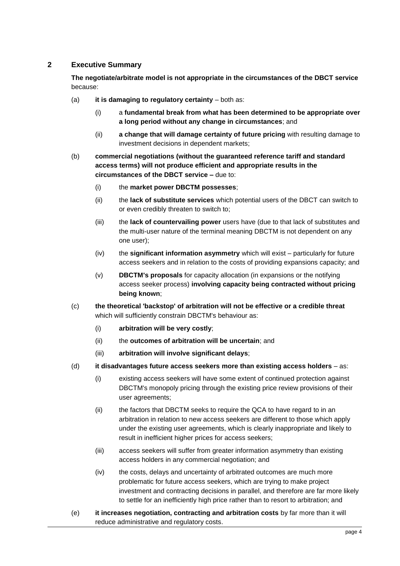# <span id="page-3-0"></span>**2 Executive Summary**

**The negotiate/arbitrate model is not appropriate in the circumstances of the DBCT service** because:

- (a) **it is damaging to regulatory certainty** both as:
	- (i) a **fundamental break from what has been determined to be appropriate over a long period without any change in circumstances**; and
	- (ii) **a change that will damage certainty of future pricing** with resulting damage to investment decisions in dependent markets;
- (b) **commercial negotiations (without the guaranteed reference tariff and standard access terms) will not produce efficient and appropriate results in the circumstances of the DBCT service –** due to:
	- (i) the **market power DBCTM possesses**;
	- (ii) the **lack of substitute services** which potential users of the DBCT can switch to or even credibly threaten to switch to;
	- (iii) the **lack of countervailing power** users have (due to that lack of substitutes and the multi-user nature of the terminal meaning DBCTM is not dependent on any one user);
	- (iv) the **significant information asymmetry** which will exist particularly for future access seekers and in relation to the costs of providing expansions capacity; and
	- (v) **DBCTM's proposals** for capacity allocation (in expansions or the notifying access seeker process) **involving capacity being contracted without pricing being known**;
- (c) **the theoretical 'backstop' of arbitration will not be effective or a credible threat** which will sufficiently constrain DBCTM's behaviour as:
	- (i) **arbitration will be very costly**;
	- (ii) the **outcomes of arbitration will be uncertain**; and
	- (iii) **arbitration will involve significant delays**;
- (d) **it disadvantages future access seekers more than existing access holders** as:
	- (i) existing access seekers will have some extent of continued protection against DBCTM's monopoly pricing through the existing price review provisions of their user agreements;
	- (ii) the factors that DBCTM seeks to require the QCA to have regard to in an arbitration in relation to new access seekers are different to those which apply under the existing user agreements, which is clearly inappropriate and likely to result in inefficient higher prices for access seekers;
	- (iii) access seekers will suffer from greater information asymmetry than existing access holders in any commercial negotiation; and
	- (iv) the costs, delays and uncertainty of arbitrated outcomes are much more problematic for future access seekers, which are trying to make project investment and contracting decisions in parallel, and therefore are far more likely to settle for an inefficiently high price rather than to resort to arbitration; and
- (e) **it increases negotiation, contracting and arbitration costs** by far more than it will reduce administrative and regulatory costs.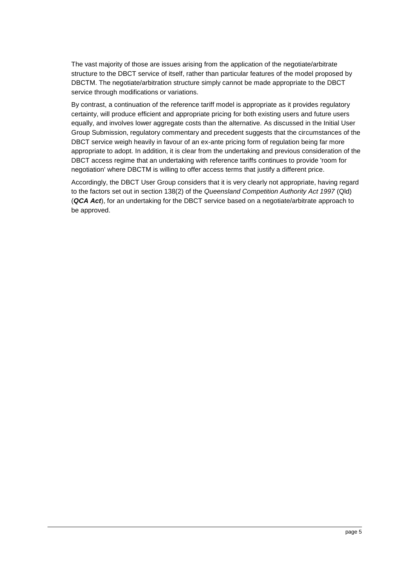The vast majority of those are issues arising from the application of the negotiate/arbitrate structure to the DBCT service of itself, rather than particular features of the model proposed by DBCTM. The negotiate/arbitration structure simply cannot be made appropriate to the DBCT service through modifications or variations.

By contrast, a continuation of the reference tariff model is appropriate as it provides regulatory certainty, will produce efficient and appropriate pricing for both existing users and future users equally, and involves lower aggregate costs than the alternative. As discussed in the Initial User Group Submission, regulatory commentary and precedent suggests that the circumstances of the DBCT service weigh heavily in favour of an ex-ante pricing form of regulation being far more appropriate to adopt. In addition, it is clear from the undertaking and previous consideration of the DBCT access regime that an undertaking with reference tariffs continues to provide 'room for negotiation' where DBCTM is willing to offer access terms that justify a different price.

Accordingly, the DBCT User Group considers that it is very clearly not appropriate, having regard to the factors set out in section 138(2) of the *Queensland Competition Authority Act 1997* (Qld) (*QCA Act*), for an undertaking for the DBCT service based on a negotiate/arbitrate approach to be approved.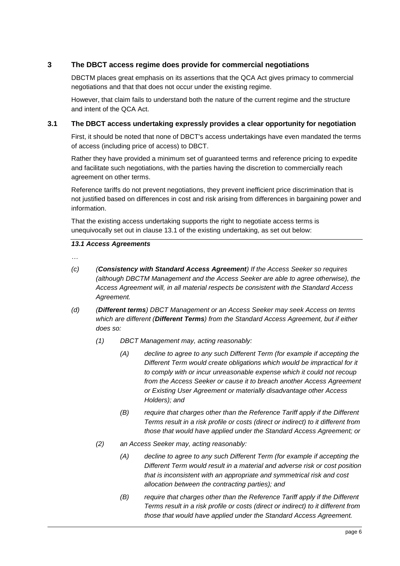# <span id="page-5-0"></span>**3 The DBCT access regime does provide for commercial negotiations**

DBCTM places great emphasis on its assertions that the QCA Act gives primacy to commercial negotiations and that that does not occur under the existing regime.

However, that claim fails to understand both the nature of the current regime and the structure and intent of the QCA Act.

#### <span id="page-5-1"></span>**3.1 The DBCT access undertaking expressly provides a clear opportunity for negotiation**

First, it should be noted that none of DBCT's access undertakings have even mandated the terms of access (including price of access) to DBCT.

Rather they have provided a minimum set of guaranteed terms and reference pricing to expedite and facilitate such negotiations, with the parties having the discretion to commercially reach agreement on other terms.

Reference tariffs do not prevent negotiations, they prevent inefficient price discrimination that is not justified based on differences in cost and risk arising from differences in bargaining power and information.

That the existing access undertaking supports the right to negotiate access terms is unequivocally set out in clause 13.1 of the existing undertaking, as set out below:

#### *13.1 Access Agreements*

*…*

- *(c) (Consistency with Standard Access Agreement) If the Access Seeker so requires (although DBCTM Management and the Access Seeker are able to agree otherwise), the Access Agreement will, in all material respects be consistent with the Standard Access Agreement.*
- *(d) (Different terms) DBCT Management or an Access Seeker may seek Access on terms which are different (Different Terms) from the Standard Access Agreement, but if either does so:* 
	- *(1) DBCT Management may, acting reasonably:*
		- *(A) decline to agree to any such Different Term (for example if accepting the Different Term would create obligations which would be impractical for it to comply with or incur unreasonable expense which it could not recoup from the Access Seeker or cause it to breach another Access Agreement or Existing User Agreement or materially disadvantage other Access Holders); and*
		- *(B) require that charges other than the Reference Tariff apply if the Different Terms result in a risk profile or costs (direct or indirect) to it different from those that would have applied under the Standard Access Agreement; or*
	- *(2) an Access Seeker may, acting reasonably:*
		- *(A) decline to agree to any such Different Term (for example if accepting the Different Term would result in a material and adverse risk or cost position that is inconsistent with an appropriate and symmetrical risk and cost allocation between the contracting parties); and*
		- *(B) require that charges other than the Reference Tariff apply if the Different Terms result in a risk profile or costs (direct or indirect) to it different from those that would have applied under the Standard Access Agreement.*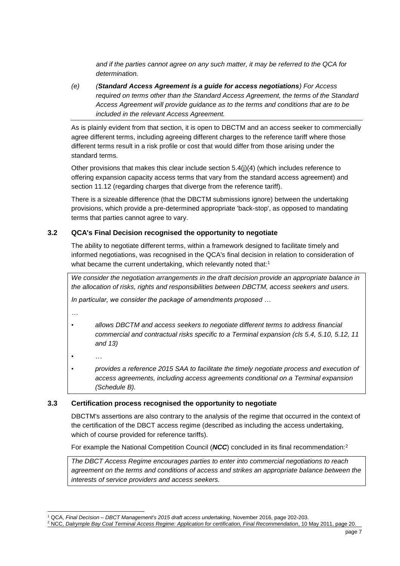*and if the parties cannot agree on any such matter, it may be referred to the QCA for determination.*

*(e) (Standard Access Agreement is a guide for access negotiations) For Access required on terms other than the Standard Access Agreement, the terms of the Standard Access Agreement will provide guidance as to the terms and conditions that are to be included in the relevant Access Agreement.*

As is plainly evident from that section, it is open to DBCTM and an access seeker to commercially agree different terms, including agreeing different charges to the reference tariff where those different terms result in a risk profile or cost that would differ from those arising under the standard terms.

Other provisions that makes this clear include section 5.4(j)(4) (which includes reference to offering expansion capacity access terms that vary from the standard access agreement) and section 11.12 (regarding charges that diverge from the reference tariff).

There is a sizeable difference (that the DBCTM submissions ignore) between the undertaking provisions, which provide a pre-determined appropriate 'back-stop', as opposed to mandating terms that parties cannot agree to vary.

#### <span id="page-6-0"></span>**3.2 QCA's Final Decision recognised the opportunity to negotiate**

The ability to negotiate different terms, within a framework designed to facilitate timely and informed negotiations, was recognised in the QCA's final decision in relation to consideration of what became the current undertaking, which relevantly noted that:<sup>1</sup>

*We consider the negotiation arrangements in the draft decision provide an appropriate balance in the allocation of risks, rights and responsibilities between DBCTM, access seekers and users.*

*In particular, we consider the package of amendments proposed …*

*…*

- *allows DBCTM and access seekers to negotiate different terms to address financial commercial and contractual risks specific to a Terminal expansion (cls 5.4, 5.10, 5.12, 11 and 13)*
- *…*
- *provides a reference 2015 SAA to facilitate the timely negotiate process and execution of access agreements, including access agreements conditional on a Terminal expansion (Schedule B).*

#### <span id="page-6-1"></span>**3.3 Certification process recognised the opportunity to negotiate**

DBCTM's assertions are also contrary to the analysis of the regime that occurred in the context of the certification of the DBCT access regime (described as including the access undertaking, which of course provided for reference tariffs).

For example the National Competition Council (*NCC*) concluded in its final recommendation:<sup>2</sup>

*The DBCT Access Regime encourages parties to enter into commercial negotiations to reach agreement on the terms and conditions of access and strikes an appropriate balance between the interests of service providers and access seekers.*

<sup>-</sup><sup>1</sup> QCA, *Final Decision – DBCT Management's 2015 draft access undertaking*, November 2016, page 202-203.

<sup>2</sup> NCC, *Dalrymple Bay Coal Terminal Access Regime: Application for certification, Final Recommendation*, 10 May 2011, page 20.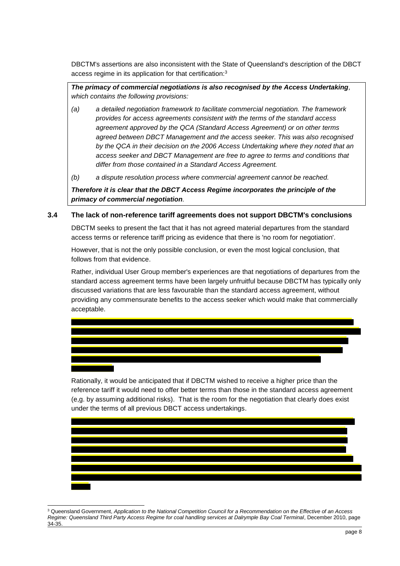DBCTM's assertions are also inconsistent with the State of Queensland's description of the DBCT access regime in its application for that certification:<sup>3</sup>

*The primacy of commercial negotiations is also recognised by the Access Undertaking, which contains the following provisions:*

- *(a) a detailed negotiation framework to facilitate commercial negotiation. The framework provides for access agreements consistent with the terms of the standard access agreement approved by the QCA (Standard Access Agreement) or on other terms agreed between DBCT Management and the access seeker. This was also recognised by the QCA in their decision on the 2006 Access Undertaking where they noted that an access seeker and DBCT Management are free to agree to terms and conditions that differ from those contained in a Standard Access Agreement.*
- *(b) a dispute resolution process where commercial agreement cannot be reached.*

*Therefore it is clear that the DBCT Access Regime incorporates the principle of the primacy of commercial negotiation.*

#### <span id="page-7-0"></span>**3.4 The lack of non-reference tariff agreements does not support DBCTM's conclusions**

DBCTM seeks to present the fact that it has not agreed material departures from the standard access terms or reference tariff pricing as evidence that there is 'no room for negotiation'.

However, that is not the only possible conclusion, or even the most logical conclusion, that follows from that evidence.

Rather, individual User Group member's experiences are that negotiations of departures from the standard access agreement terms have been largely unfruitful because DBCTM has typically only discussed variations that are less favourable than the standard access agreement, without providing any commensurate benefits to the access seeker which would make that commercially acceptable.

Rationally, it would be anticipated that if DBCTM wished to receive a higher price than the reference tariff it would need to offer better terms than those in the standard access agreement (e,g. by assuming additional risks). That is the room for the negotiation that clearly does exist under the terms of all previous DBCT access undertakings.



<sup>1</sup> <sup>3</sup> Queensland Government, *Application to the National Competition Council for a Recommendation on the Effective of an Access Regime: Queensland Third Party Access Regime for coal handling services at Dalrymple Bay Coal Terminal*, December 2010, page 34-35.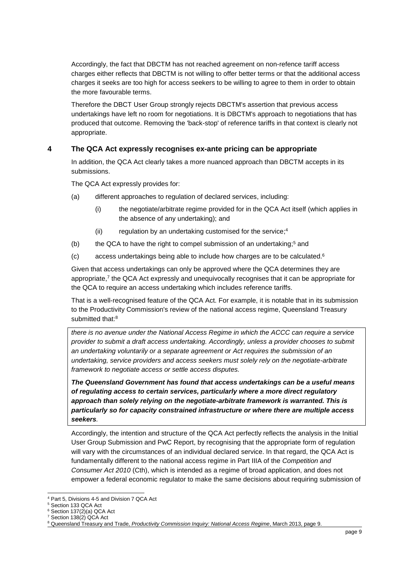Accordingly, the fact that DBCTM has not reached agreement on non-refence tariff access charges either reflects that DBCTM is not willing to offer better terms or that the additional access charges it seeks are too high for access seekers to be willing to agree to them in order to obtain the more favourable terms.

Therefore the DBCT User Group strongly rejects DBCTM's assertion that previous access undertakings have left no room for negotiations. It is DBCTM's approach to negotiations that has produced that outcome. Removing the 'back-stop' of reference tariffs in that context is clearly not appropriate.

# <span id="page-8-0"></span>**4 The QCA Act expressly recognises ex-ante pricing can be appropriate**

In addition, the QCA Act clearly takes a more nuanced approach than DBCTM accepts in its submissions.

The QCA Act expressly provides for:

- (a) different approaches to regulation of declared services, including:
	- (i) the negotiate/arbitrate regime provided for in the QCA Act itself (which applies in the absence of any undertaking); and
	- (ii) regulation by an undertaking customised for the service; 4
- (b) the QCA to have the right to compel submission of an undertaking;<sup>5</sup> and
- (c) access undertakings being able to include how charges are to be calculated.<sup>6</sup>

Given that access undertakings can only be approved where the QCA determines they are appropriate,<sup>7</sup> the QCA Act expressly and unequivocally recognises that it can be appropriate for the QCA to require an access undertaking which includes reference tariffs.

That is a well-recognised feature of the QCA Act. For example, it is notable that in its submission to the Productivity Commission's review of the national access regime, Queensland Treasury submitted that:<sup>8</sup>

*there is no avenue under the National Access Regime in which the ACCC can require a service provider to submit a draft access undertaking. Accordingly, unless a provider chooses to submit an undertaking voluntarily or a separate agreement or Act requires the submission of an undertaking, service providers and access seekers must solely rely on the negotiate-arbitrate framework to negotiate access or settle access disputes.*

*The Queensland Government has found that access undertakings can be a useful means of regulating access to certain services, particularly where a more direct regulatory approach than solely relying on the negotiate-arbitrate framework is warranted. This is particularly so for capacity constrained infrastructure or where there are multiple access seekers.* 

Accordingly, the intention and structure of the QCA Act perfectly reflects the analysis in the Initial User Group Submission and PwC Report, by recognising that the appropriate form of regulation will vary with the circumstances of an individual declared service. In that regard, the QCA Act is fundamentally different to the national access regime in Part IIIA of the *Competition and Consumer Act 2010* (Cth), which is intended as a regime of broad application, and does not empower a federal economic regulator to make the same decisions about requiring submission of

<sup>1</sup> <sup>4</sup> Part 5, Divisions 4-5 and Division 7 QCA Act

<sup>5</sup> Section 133 QCA Act

<sup>6</sup> Section 137(2)(a) QCA Act

<sup>7</sup> Section 138(2) QCA Act

<sup>8</sup> Queensland Treasury and Trade, *Productivity Commission Inquiry: National Access Regime*, March 2013, page 9.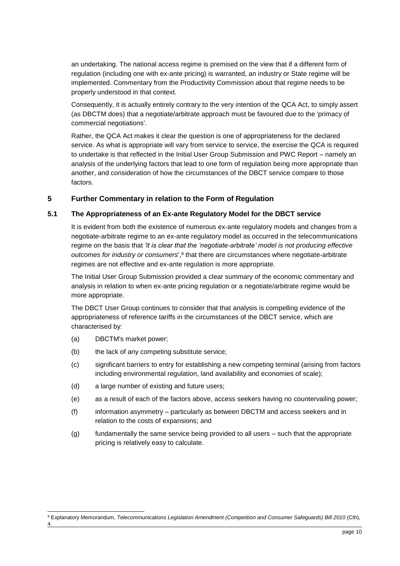an undertaking. The national access regime is premised on the view that if a different form of regulation (including one with ex-ante pricing) is warranted, an industry or State regime will be implemented. Commentary from the Productivity Commission about that regime needs to be properly understood in that context.

Consequently, it is actually entirely contrary to the very intention of the QCA Act, to simply assert (as DBCTM does) that a negotiate/arbitrate approach must be favoured due to the 'primacy of commercial negotiations'.

Rather, the QCA Act makes it clear the question is one of appropriateness for the declared service. As what is appropriate will vary from service to service, the exercise the QCA is required to undertake is that reflected in the Initial User Group Submission and PWC Report – namely an analysis of the underlying factors that lead to one form of regulation being more appropriate than another, and consideration of how the circumstances of the DBCT service compare to those factors.

#### <span id="page-9-0"></span>**5 Further Commentary in relation to the Form of Regulation**

#### <span id="page-9-1"></span>**5.1 The Appropriateness of an Ex-ante Regulatory Model for the DBCT service**

It is evident from both the existence of numerous ex-ante regulatory models and changes from a negotiate-arbitrate regime to an ex-ante regulatory model as occurred in the telecommunications regime on the basis that *'it is clear that the 'negotiate-arbitrate' model is not producing effective*  outcomes for industry or consumers',<sup>9</sup> that there are circumstances where negotiate-arbitrate regimes are not effective and ex-ante regulation is more appropriate.

The Initial User Group Submission provided a clear summary of the economic commentary and analysis in relation to when ex-ante pricing regulation or a negotiate/arbitrate regime would be more appropriate.

The DBCT User Group continues to consider that that analysis is compelling evidence of the appropriateness of reference tariffs in the circumstances of the DBCT service, which are characterised by:

- (a) DBCTM's market power;
- (b) the lack of any competing substitute service;
- (c) significant barriers to entry for establishing a new competing terminal (arising from factors including environmental regulation, land availability and economies of scale);
- (d) a large number of existing and future users;
- (e) as a result of each of the factors above, access seekers having no countervailing power;
- (f) information asymmetry particularly as between DBCTM and access seekers and in relation to the costs of expansions; and
- (g) fundamentally the same service being provided to all users such that the appropriate pricing is relatively easy to calculate.

<sup>-</sup><sup>9</sup> Explanatory Memorandum, *Telecommunications Legislation Amendment (Competition and Consumer Safeguards) Bill 2010* (Cth), 4.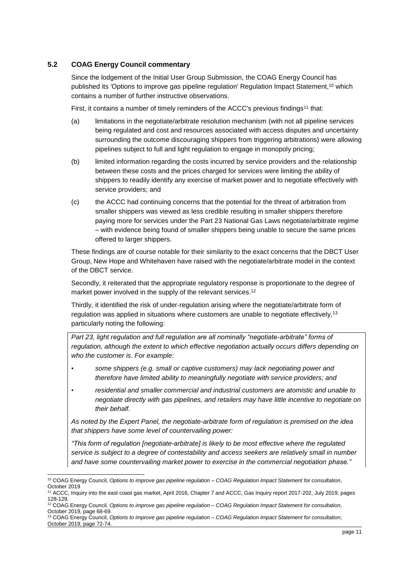#### <span id="page-10-0"></span>**5.2 COAG Energy Council commentary**

Since the lodgement of the Initial User Group Submission, the COAG Energy Council has published its 'Options to improve gas pipeline regulation' Regulation Impact Statement,<sup>10</sup> which contains a number of further instructive observations.

First, it contains a number of timely reminders of the ACCC's previous findings<sup>11</sup> that:

- (a) limitations in the negotiate/arbitrate resolution mechanism (with not all pipeline services being regulated and cost and resources associated with access disputes and uncertainty surrounding the outcome discouraging shippers from triggering arbitrations) were allowing pipelines subject to full and light regulation to engage in monopoly pricing;
- (b) limited information regarding the costs incurred by service providers and the relationship between these costs and the prices charged for services were limiting the ability of shippers to readily identify any exercise of market power and to negotiate effectively with service providers; and
- (c) the ACCC had continuing concerns that the potential for the threat of arbitration from smaller shippers was viewed as less credible resulting in smaller shippers therefore paying more for services under the Part 23 National Gas Laws negotiate/arbitrate regime – with evidence being found of smaller shippers being unable to secure the same prices offered to larger shippers.

These findings are of course notable for their similarity to the exact concerns that the DBCT User Group, New Hope and Whitehaven have raised with the negotiate/arbitrate model in the context of the DBCT service.

Secondly, it reiterated that the appropriate regulatory response is proportionate to the degree of market power involved in the supply of the relevant services.<sup>12</sup>

Thirdly, it identified the risk of under-regulation arising where the negotiate/arbitrate form of regulation was applied in situations where customers are unable to negotiate effectively,  $13$ particularly noting the following:

*Part 23, light regulation and full regulation are all nominally "negotiate-arbitrate" forms of regulation, although the extent to which effective negotiation actually occurs differs depending on who the customer is. For example:*

- *some shippers (e.g. small or captive customers) may lack negotiating power and therefore have limited ability to meaningfully negotiate with service providers; and*
- *residential and smaller commercial and industrial customers are atomistic and unable to negotiate directly with gas pipelines, and retailers may have little incentive to negotiate on their behalf.*

*As noted by the Expert Panel, the negotiate-arbitrate form of regulation is premised on the idea that shippers have some level of countervailing power:* 

*"This form of regulation [negotiate-arbitrate] is likely to be most effective where the regulated service is subject to a degree of contestability and access seekers are relatively small in number and have some countervailing market power to exercise in the commercial negotiation phase."*

-

<sup>10</sup> COAG Energy Council, *Options to improve gas pipeline regulation – COAG Regulation Impact Statement for consultation*, October 2019

<sup>11</sup> ACCC, Inquiry into the east coast gas market, April 2016, Chapter 7 and ACCC, Gas Inquiry report 2017-202, July 2019, pages 128-129.

<sup>12</sup> COAG Energy Council, *Options to improve gas pipeline regulation – COAG Regulation Impact Statement for consultation*, October 2019, page 68-69.

<sup>13</sup> COAG Energy Council, *Options to improve gas pipeline regulation – COAG Regulation Impact Statement for consultation*, October 2019, page 72-74.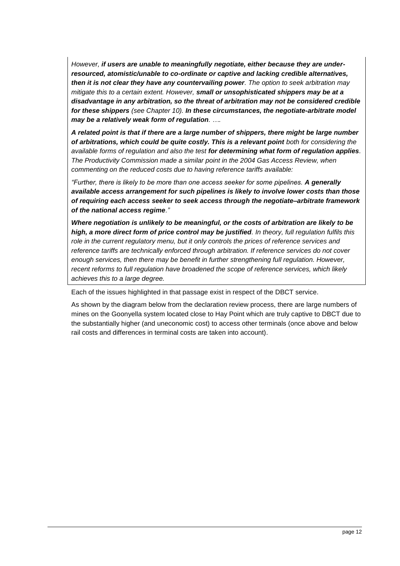*However, if users are unable to meaningfully negotiate, either because they are underresourced, atomistic/unable to co-ordinate or captive and lacking credible alternatives, then it is not clear they have any countervailing power. The option to seek arbitration may mitigate this to a certain extent. However, small or unsophisticated shippers may be at a disadvantage in any arbitration, so the threat of arbitration may not be considered credible for these shippers (see Chapter 10). In these circumstances, the negotiate-arbitrate model may be a relatively weak form of regulation. ….*

*A related point is that if there are a large number of shippers, there might be large number of arbitrations, which could be quite costly. This is a relevant point both for considering the available forms of regulation and also the test for determining what form of regulation applies. The Productivity Commission made a similar point in the 2004 Gas Access Review, when commenting on the reduced costs due to having reference tariffs available:*

*"Further, there is likely to be more than one access seeker for some pipelines. A generally available access arrangement for such pipelines is likely to involve lower costs than those of requiring each access seeker to seek access through the negotiate–arbitrate framework of the national access regime."*

*Where negotiation is unlikely to be meaningful, or the costs of arbitration are likely to be high, a more direct form of price control may be justified. In theory, full regulation fulfils this role in the current regulatory menu, but it only controls the prices of reference services and reference tariffs are technically enforced through arbitration. If reference services do not cover enough services, then there may be benefit in further strengthening full regulation. However, recent reforms to full regulation have broadened the scope of reference services, which likely achieves this to a large degree.*

Each of the issues highlighted in that passage exist in respect of the DBCT service.

As shown by the diagram below from the declaration review process, there are large numbers of mines on the Goonyella system located close to Hay Point which are truly captive to DBCT due to the substantially higher (and uneconomic cost) to access other terminals (once above and below rail costs and differences in terminal costs are taken into account).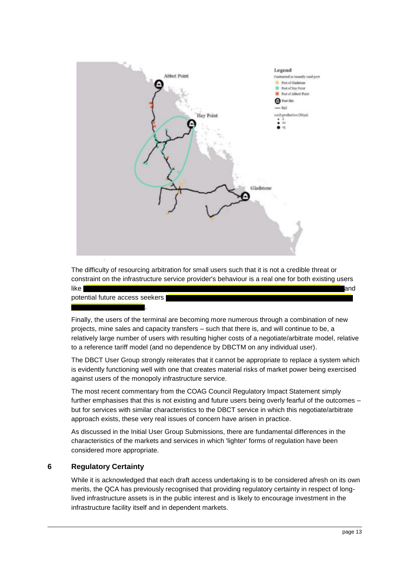

The difficulty of resourcing arbitration for small users such that it is not a credible threat or constraint on the infrastructure service provider's behaviour is a real one for both existing users like and

potential future access seekers

.

Finally, the users of the terminal are becoming more numerous through a combination of new projects, mine sales and capacity transfers – such that there is, and will continue to be, a relatively large number of users with resulting higher costs of a negotiate/arbitrate model, relative to a reference tariff model (and no dependence by DBCTM on any individual user).

The DBCT User Group strongly reiterates that it cannot be appropriate to replace a system which is evidently functioning well with one that creates material risks of market power being exercised against users of the monopoly infrastructure service.

The most recent commentary from the COAG Council Regulatory Impact Statement simply further emphasises that this is not existing and future users being overly fearful of the outcomes – but for services with similar characteristics to the DBCT service in which this negotiate/arbitrate approach exists, these very real issues of concern have arisen in practice.

As discussed in the Initial User Group Submissions, there are fundamental differences in the characteristics of the markets and services in which 'lighter' forms of regulation have been considered more appropriate.

# <span id="page-12-0"></span>**6 Regulatory Certainty**

While it is acknowledged that each draft access undertaking is to be considered afresh on its own merits, the QCA has previously recognised that providing regulatory certainty in respect of longlived infrastructure assets is in the public interest and is likely to encourage investment in the infrastructure facility itself and in dependent markets.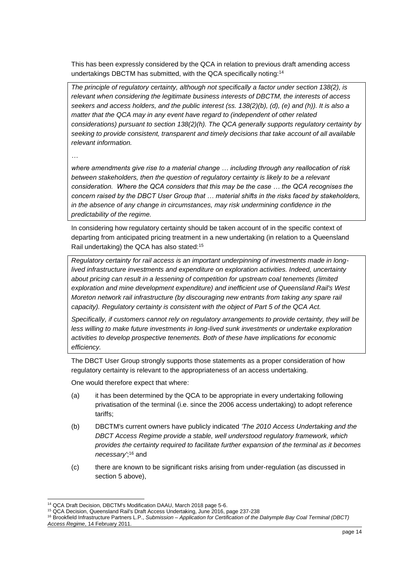This has been expressly considered by the QCA in relation to previous draft amending access undertakings DBCTM has submitted, with the QCA specifically noting:<sup>14</sup>

*The principle of regulatory certainty, although not specifically a factor under section 138(2), is relevant when considering the legitimate business interests of DBCTM, the interests of access seekers and access holders, and the public interest (ss. 138(2)(b), (d), (e) and (h)). It is also a matter that the QCA may in any event have regard to (independent of other related considerations) pursuant to section 138(2)(h). The QCA generally supports regulatory certainty by seeking to provide consistent, transparent and timely decisions that take account of all available relevant information.* 

*…*

*where amendments give rise to a material change … including through any reallocation of risk between stakeholders, then the question of regulatory certainty is likely to be a relevant consideration. Where the QCA considers that this may be the case … the QCA recognises the concern raised by the DBCT User Group that … material shifts in the risks faced by stakeholders, in the absence of any change in circumstances, may risk undermining confidence in the predictability of the regime.*

In considering how regulatory certainty should be taken account of in the specific context of departing from anticipated pricing treatment in a new undertaking (in relation to a Queensland Rail undertaking) the QCA has also stated:<sup>15</sup>

*Regulatory certainty for rail access is an important underpinning of investments made in longlived infrastructure investments and expenditure on exploration activities. Indeed, uncertainty about pricing can result in a lessening of competition for upstream coal tenements (limited exploration and mine development expenditure) and inefficient use of Queensland Rail's West Moreton network rail infrastructure (by discouraging new entrants from taking any spare rail capacity). Regulatory certainty is consistent with the object of Part 5 of the QCA Act.*

*Specifically, if customers cannot rely on regulatory arrangements to provide certainty, they will be*  less willing to make future investments in long-lived sunk investments or undertake exploration *activities to develop prospective tenements. Both of these have implications for economic efficiency.*

The DBCT User Group strongly supports those statements as a proper consideration of how regulatory certainty is relevant to the appropriateness of an access undertaking.

One would therefore expect that where:

- (a) it has been determined by the QCA to be appropriate in every undertaking following privatisation of the terminal (i.e. since the 2006 access undertaking) to adopt reference tariffs;
- (b) DBCTM's current owners have publicly indicated *'The 2010 Access Undertaking and the DBCT Access Regime provide a stable, well understood regulatory framework, which provides the certainty required to facilitate further expansion of the terminal as it becomes necessary'*; <sup>16</sup> and
- (c) there are known to be significant risks arising from under-regulation (as discussed in section [5](#page-9-0) above),

<sup>-</sup><sup>14</sup> QCA Draft Decision, DBCTM's Modification DAAU, March 2018 page 5-6.

<sup>15</sup> QCA Decision, Queensland Rail's Draft Access Undertaking, June 2016, page 237-238

<sup>16</sup> Brookfield Infrastructure Partners L.P., *Submission – Application for Certification of the Dalrymple Bay Coal Terminal (DBCT) Access Regime*, 14 February 2011.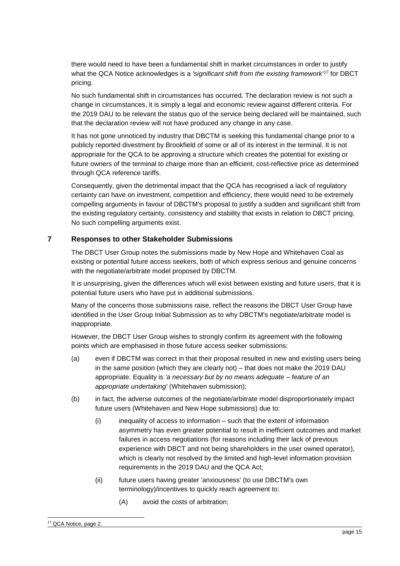there would need to have been a fundamental shift in market circumstances in order to justify what the QCA Notice acknowledges is a *'significant shift from the existing framework'<sup>17</sup>* for DBCT pricing.

No such fundamental shift in circumstances has occurred. The declaration review is not such a change in circumstances, it is simply a legal and economic review against different criteria. For the 2019 DAU to be relevant the status quo of the service being declared will be maintained, such that the declaration review will not have produced any change in any case.

It has not gone unnoticed by industry that DBCTM is seeking this fundamental change prior to a publicly reported divestment by Brookfield of some or all of its interest in the terminal. It is not appropriate for the QCA to be approving a structure which creates the potential for existing or future owners of the terminal to charge more than an efficient, cost-reflective price as determined through QCA reference tariffs.

Consequently, given the detrimental impact that the QCA has recognised a lack of regulatory certainty can have on investment, competition and efficiency, there would need to be extremely compelling arguments in favour of DBCTM's proposal to justify a sudden and significant shift from the existing regulatory certainty, consistency and stability that exists in relation to DBCT pricing. No such compelling arguments exist.

#### <span id="page-14-0"></span>**7 Responses to other Stakeholder Submissions**

The DBCT User Group notes the submissions made by New Hope and Whitehaven Coal as existing or potential future access seekers, both of which express serious and genuine concerns with the negotiate/arbitrate model proposed by DBCTM.

It is unsurprising, given the differences which will exist between existing and future users, that it is potential future users who have put in additional submissions.

Many of the concerns those submissions raise, reflect the reasons the DBCT User Group have identified in the User Group Initial Submission as to why DBCTM's negotiate/arbitrate model is inappropriate.

However, the DBCT User Group wishes to strongly confirm its agreement with the following points which are emphasised in those future access seeker submissions:

- (a) even if DBCTM was correct in that their proposal resulted in new and existing users being in the same position (which they are clearly not) – that does not make the 2019 DAU appropriate. Equality is *'a necessary but by no means adequate – feature of an appropriate undertaking'* (Whitehaven submission);
- (b) in fact, the adverse outcomes of the negotiate/arbitrate model disproportionately impact future users (Whitehaven and New Hope submissions) due to:
	- (i) inequality of access to information such that the extent of information asymmetry has even greater potential to result in inefficient outcomes and market failures in access negotiations (for reasons including their lack of previous experience with DBCT and not being shareholders in the user owned operator), which is clearly not resolved by the limited and high-level information provision requirements in the 2019 DAU and the QCA Act;
	- (ii) future users having greater 'anxiousness' (to use DBCTM's own terminology)/incentives to quickly reach agreement to:
		- (A) avoid the costs of arbitration;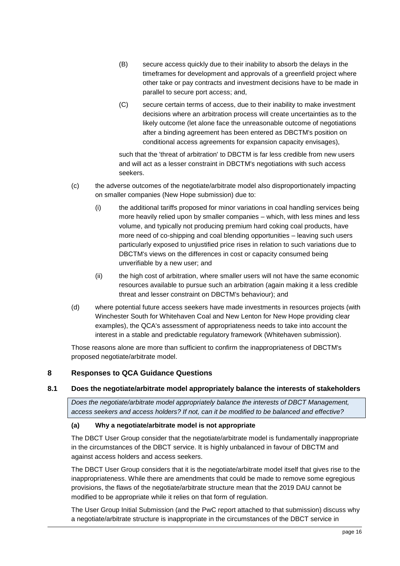- (B) secure access quickly due to their inability to absorb the delays in the timeframes for development and approvals of a greenfield project where other take or pay contracts and investment decisions have to be made in parallel to secure port access; and,
- (C) secure certain terms of access, due to their inability to make investment decisions where an arbitration process will create uncertainties as to the likely outcome (let alone face the unreasonable outcome of negotiations after a binding agreement has been entered as DBCTM's position on conditional access agreements for expansion capacity envisages),

such that the 'threat of arbitration' to DBCTM is far less credible from new users and will act as a lesser constraint in DBCTM's negotiations with such access seekers.

- (c) the adverse outcomes of the negotiate/arbitrate model also disproportionately impacting on smaller companies (New Hope submission) due to:
	- (i) the additional tariffs proposed for minor variations in coal handling services being more heavily relied upon by smaller companies – which, with less mines and less volume, and typically not producing premium hard coking coal products, have more need of co-shipping and coal blending opportunities – leaving such users particularly exposed to unjustified price rises in relation to such variations due to DBCTM's views on the differences in cost or capacity consumed being unverifiable by a new user; and
	- (ii) the high cost of arbitration, where smaller users will not have the same economic resources available to pursue such an arbitration (again making it a less credible threat and lesser constraint on DBCTM's behaviour); and
- (d) where potential future access seekers have made investments in resources projects (with Winchester South for Whitehaven Coal and New Lenton for New Hope providing clear examples), the QCA's assessment of appropriateness needs to take into account the interest in a stable and predictable regulatory framework (Whitehaven submission).

Those reasons alone are more than sufficient to confirm the inappropriateness of DBCTM's proposed negotiate/arbitrate model.

#### <span id="page-15-0"></span>**8 Responses to QCA Guidance Questions**

#### <span id="page-15-1"></span>**8.1 Does the negotiate/arbitrate model appropriately balance the interests of stakeholders**

*Does the negotiate/arbitrate model appropriately balance the interests of DBCT Management, access seekers and access holders? If not, can it be modified to be balanced and effective?*

#### <span id="page-15-2"></span>**(a) Why a negotiate/arbitrate model is not appropriate**

The DBCT User Group consider that the negotiate/arbitrate model is fundamentally inappropriate in the circumstances of the DBCT service. It is highly unbalanced in favour of DBCTM and against access holders and access seekers.

The DBCT User Group considers that it is the negotiate/arbitrate model itself that gives rise to the inappropriateness. While there are amendments that could be made to remove some egregious provisions, the flaws of the negotiate/arbitrate structure mean that the 2019 DAU cannot be modified to be appropriate while it relies on that form of regulation.

The User Group Initial Submission (and the PwC report attached to that submission) discuss why a negotiate/arbitrate structure is inappropriate in the circumstances of the DBCT service in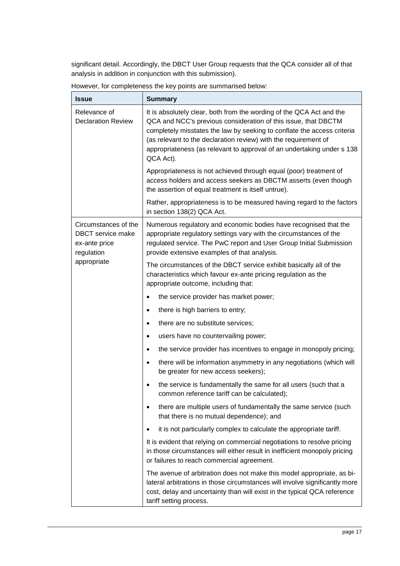significant detail. Accordingly, the DBCT User Group requests that the QCA consider all of that analysis in addition in conjunction with this submission).

| <b>Issue</b>                                                                    | <b>Summary</b>                                                                                                                                                                                                                                                                                                                                                              |
|---------------------------------------------------------------------------------|-----------------------------------------------------------------------------------------------------------------------------------------------------------------------------------------------------------------------------------------------------------------------------------------------------------------------------------------------------------------------------|
| Relevance of<br><b>Declaration Review</b>                                       | It is absolutely clear, both from the wording of the QCA Act and the<br>QCA and NCC's previous consideration of this issue, that DBCTM<br>completely misstates the law by seeking to conflate the access criteria<br>(as relevant to the declaration review) with the requirement of<br>appropriateness (as relevant to approval of an undertaking under s 138<br>QCA Act). |
|                                                                                 | Appropriateness is not achieved through equal (poor) treatment of<br>access holders and access seekers as DBCTM asserts (even though<br>the assertion of equal treatment is itself untrue).                                                                                                                                                                                 |
|                                                                                 | Rather, appropriateness is to be measured having regard to the factors<br>in section 138(2) QCA Act.                                                                                                                                                                                                                                                                        |
| Circumstances of the<br><b>DBCT</b> service make<br>ex-ante price<br>regulation | Numerous regulatory and economic bodies have recognised that the<br>appropriate regulatory settings vary with the circumstances of the<br>regulated service. The PwC report and User Group Initial Submission<br>provide extensive examples of that analysis.                                                                                                               |
| appropriate                                                                     | The circumstances of the DBCT service exhibit basically all of the<br>characteristics which favour ex-ante pricing regulation as the<br>appropriate outcome, including that:                                                                                                                                                                                                |
|                                                                                 | the service provider has market power;<br>$\bullet$                                                                                                                                                                                                                                                                                                                         |
|                                                                                 | there is high barriers to entry;<br>$\bullet$                                                                                                                                                                                                                                                                                                                               |
|                                                                                 | there are no substitute services;<br>$\bullet$                                                                                                                                                                                                                                                                                                                              |
|                                                                                 | users have no countervailing power;<br>$\bullet$                                                                                                                                                                                                                                                                                                                            |
|                                                                                 | the service provider has incentives to engage in monopoly pricing;<br>$\bullet$                                                                                                                                                                                                                                                                                             |
|                                                                                 | there will be information asymmetry in any negotiations (which will<br>$\bullet$<br>be greater for new access seekers);                                                                                                                                                                                                                                                     |
|                                                                                 | the service is fundamentally the same for all users (such that a<br>common reference tariff can be calculated);                                                                                                                                                                                                                                                             |
|                                                                                 | there are multiple users of fundamentally the same service (such<br>$\bullet$<br>that there is no mutual dependence); and                                                                                                                                                                                                                                                   |
|                                                                                 | it is not particularly complex to calculate the appropriate tariff.<br>$\bullet$                                                                                                                                                                                                                                                                                            |
|                                                                                 | It is evident that relying on commercial negotiations to resolve pricing<br>in those circumstances will either result in inefficient monopoly pricing<br>or failures to reach commercial agreement.                                                                                                                                                                         |
|                                                                                 | The avenue of arbitration does not make this model appropriate, as bi-<br>lateral arbitrations in those circumstances will involve significantly more<br>cost, delay and uncertainty than will exist in the typical QCA reference<br>tariff setting process.                                                                                                                |

However, for completeness the key points are summarised below: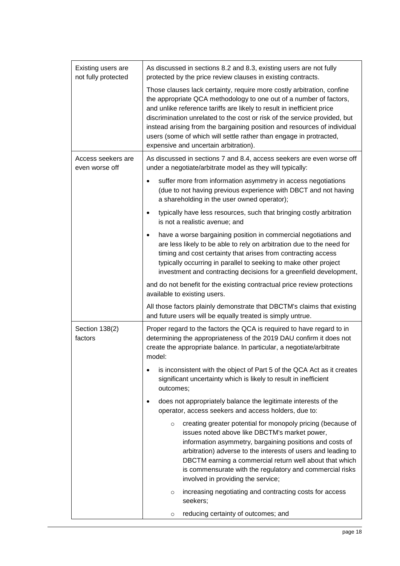| Existing users are<br>not fully protected | As discussed in sections 8.2 and 8.3, existing users are not fully<br>protected by the price review clauses in existing contracts.                                                                                                                                                                                                                                                                                                                                                             |  |  |
|-------------------------------------------|------------------------------------------------------------------------------------------------------------------------------------------------------------------------------------------------------------------------------------------------------------------------------------------------------------------------------------------------------------------------------------------------------------------------------------------------------------------------------------------------|--|--|
|                                           | Those clauses lack certainty, require more costly arbitration, confine<br>the appropriate QCA methodology to one out of a number of factors,<br>and unlike reference tariffs are likely to result in inefficient price<br>discrimination unrelated to the cost or risk of the service provided, but<br>instead arising from the bargaining position and resources of individual<br>users (some of which will settle rather than engage in protracted,<br>expensive and uncertain arbitration). |  |  |
| Access seekers are<br>even worse off      | As discussed in sections 7 and 8.4, access seekers are even worse off<br>under a negotiate/arbitrate model as they will typically:                                                                                                                                                                                                                                                                                                                                                             |  |  |
|                                           | suffer more from information asymmetry in access negotiations<br>(due to not having previous experience with DBCT and not having<br>a shareholding in the user owned operator);                                                                                                                                                                                                                                                                                                                |  |  |
|                                           | typically have less resources, such that bringing costly arbitration<br>$\bullet$<br>is not a realistic avenue; and                                                                                                                                                                                                                                                                                                                                                                            |  |  |
|                                           | have a worse bargaining position in commercial negotiations and<br>$\bullet$<br>are less likely to be able to rely on arbitration due to the need for<br>timing and cost certainty that arises from contracting access<br>typically occurring in parallel to seeking to make other project<br>investment and contracting decisions for a greenfield development,                                                                                                                               |  |  |
|                                           | and do not benefit for the existing contractual price review protections<br>available to existing users.                                                                                                                                                                                                                                                                                                                                                                                       |  |  |
|                                           | All those factors plainly demonstrate that DBCTM's claims that existing<br>and future users will be equally treated is simply untrue.                                                                                                                                                                                                                                                                                                                                                          |  |  |
| Section 138(2)<br>factors                 | Proper regard to the factors the QCA is required to have regard to in<br>determining the appropriateness of the 2019 DAU confirm it does not<br>create the appropriate balance. In particular, a negotiate/arbitrate<br>model:                                                                                                                                                                                                                                                                 |  |  |
|                                           | is inconsistent with the object of Part 5 of the QCA Act as it creates<br>significant uncertainty which is likely to result in inefficient<br>outcomes;                                                                                                                                                                                                                                                                                                                                        |  |  |
|                                           | does not appropriately balance the legitimate interests of the<br>operator, access seekers and access holders, due to:                                                                                                                                                                                                                                                                                                                                                                         |  |  |
|                                           | creating greater potential for monopoly pricing (because of<br>$\circ$<br>issues noted above like DBCTM's market power,<br>information asymmetry, bargaining positions and costs of<br>arbitration) adverse to the interests of users and leading to<br>DBCTM earning a commercial return well about that which<br>is commensurate with the regulatory and commercial risks<br>involved in providing the service;                                                                              |  |  |
|                                           | increasing negotiating and contracting costs for access<br>O<br>seekers;                                                                                                                                                                                                                                                                                                                                                                                                                       |  |  |
|                                           | reducing certainty of outcomes; and<br>O                                                                                                                                                                                                                                                                                                                                                                                                                                                       |  |  |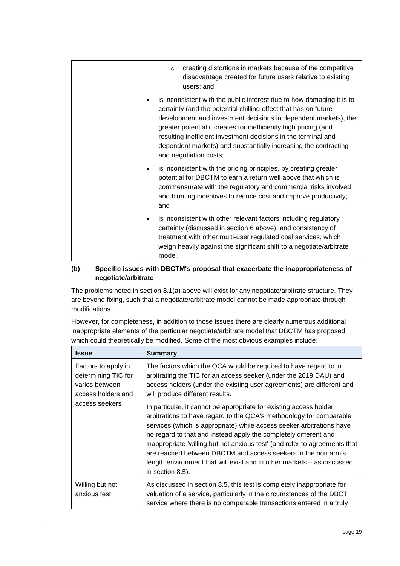| creating distortions in markets because of the competitive<br>$\circ$<br>disadvantage created for future users relative to existing<br>users; and                                                                                                                                                                                                                                                                                              |
|------------------------------------------------------------------------------------------------------------------------------------------------------------------------------------------------------------------------------------------------------------------------------------------------------------------------------------------------------------------------------------------------------------------------------------------------|
| is inconsistent with the public interest due to how damaging it is to<br>certainty (and the potential chilling effect that has on future<br>development and investment decisions in dependent markets), the<br>greater potential it creates for inefficiently high pricing (and<br>resulting inefficient investment decisions in the terminal and<br>dependent markets) and substantially increasing the contracting<br>and negotiation costs; |
| is inconsistent with the pricing principles, by creating greater<br>potential for DBCTM to earn a return well above that which is<br>commensurate with the regulatory and commercial risks involved<br>and blunting incentives to reduce cost and improve productivity;<br>and                                                                                                                                                                 |
| is inconsistent with other relevant factors including regulatory<br>certainty (discussed in section 6 above), and consistency of<br>treatment with other multi-user regulated coal services, which<br>weigh heavily against the significant shift to a negotiate/arbitrate<br>model.                                                                                                                                                           |

# **(b) Specific issues with DBCTM's proposal that exacerbate the inappropriateness of negotiate/arbitrate**

The problems noted in section [8.1\(a\)](#page-15-2) above will exist for any negotiate/arbitrate structure. They are beyond fixing, such that a negotiate/arbitrate model cannot be made appropriate through modifications.

However, for completeness, in addition to those issues there are clearly numerous additional inappropriate elements of the particular negotiate/arbitrate model that DBCTM has proposed which could theoretically be modified. Some of the most obvious examples include:

| <b>Issue</b>                                                                       | <b>Summary</b>                                                                                                                                                                                                                                                                                                                                                                                                                                                                                                                      |
|------------------------------------------------------------------------------------|-------------------------------------------------------------------------------------------------------------------------------------------------------------------------------------------------------------------------------------------------------------------------------------------------------------------------------------------------------------------------------------------------------------------------------------------------------------------------------------------------------------------------------------|
| Factors to apply in<br>determining TIC for<br>varies between<br>access holders and | The factors which the QCA would be required to have regard to in<br>arbitrating the TIC for an access seeker (under the 2019 DAU) and<br>access holders (under the existing user agreements) are different and<br>will produce different results.                                                                                                                                                                                                                                                                                   |
| access seekers                                                                     | In particular, it cannot be appropriate for existing access holder<br>arbitrations to have regard to the QCA's methodology for comparable<br>services (which is appropriate) while access seeker arbitrations have<br>no regard to that and instead apply the completely different and<br>inappropriate 'willing but not anxious test' (and refer to agreements that<br>are reached between DBCTM and access seekers in the non arm's<br>length environment that will exist and in other markets – as discussed<br>in section 8.5). |
| Willing but not<br>anxious test                                                    | As discussed in section 8.5, this test is completely inappropriate for<br>valuation of a service, particularly in the circumstances of the DBCT<br>service where there is no comparable transactions entered in a truly                                                                                                                                                                                                                                                                                                             |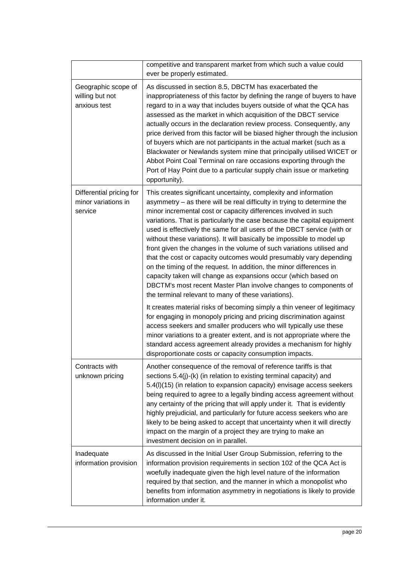|                                                            | competitive and transparent market from which such a value could<br>ever be properly estimated.                                                                                                                                                                                                                                                                                                                                                                                                                                                                                                                                                                                                                                                                                                                                                                   |
|------------------------------------------------------------|-------------------------------------------------------------------------------------------------------------------------------------------------------------------------------------------------------------------------------------------------------------------------------------------------------------------------------------------------------------------------------------------------------------------------------------------------------------------------------------------------------------------------------------------------------------------------------------------------------------------------------------------------------------------------------------------------------------------------------------------------------------------------------------------------------------------------------------------------------------------|
| Geographic scope of<br>willing but not<br>anxious test     | As discussed in section 8.5, DBCTM has exacerbated the<br>inappropriateness of this factor by defining the range of buyers to have<br>regard to in a way that includes buyers outside of what the QCA has<br>assessed as the market in which acquisition of the DBCT service<br>actually occurs in the declaration review process. Consequently, any<br>price derived from this factor will be biased higher through the inclusion<br>of buyers which are not participants in the actual market (such as a<br>Blackwater or Newlands system mine that principally utilised WICET or<br>Abbot Point Coal Terminal on rare occasions exporting through the<br>Port of Hay Point due to a particular supply chain issue or marketing<br>opportunity).                                                                                                                |
| Differential pricing for<br>minor variations in<br>service | This creates significant uncertainty, complexity and information<br>asymmetry - as there will be real difficulty in trying to determine the<br>minor incremental cost or capacity differences involved in such<br>variations. That is particularly the case because the capital equipment<br>used is effectively the same for all users of the DBCT service (with or<br>without these variations). It will basically be impossible to model up<br>front given the changes in the volume of such variations utilised and<br>that the cost or capacity outcomes would presumably vary depending<br>on the timing of the request. In addition, the minor differences in<br>capacity taken will change as expansions occur (which based on<br>DBCTM's most recent Master Plan involve changes to components of<br>the terminal relevant to many of these variations). |
|                                                            | It creates material risks of becoming simply a thin veneer of legitimacy<br>for engaging in monopoly pricing and pricing discrimination against<br>access seekers and smaller producers who will typically use these<br>minor variations to a greater extent, and is not appropriate where the<br>standard access agreement already provides a mechanism for highly<br>disproportionate costs or capacity consumption impacts.                                                                                                                                                                                                                                                                                                                                                                                                                                    |
| Contracts with<br>unknown pricing                          | Another consequence of the removal of reference tariffs is that<br>sections 5.4(j)-(k) (in relation to existing terminal capacity) and<br>5.4(I)(15) (in relation to expansion capacity) envisage access seekers<br>being required to agree to a legally binding access agreement without<br>any certainty of the pricing that will apply under it. That is evidently<br>highly prejudicial, and particularly for future access seekers who are<br>likely to be being asked to accept that uncertainty when it will directly<br>impact on the margin of a project they are trying to make an<br>investment decision on in parallel.                                                                                                                                                                                                                               |
| Inadequate<br>information provision                        | As discussed in the Initial User Group Submission, referring to the<br>information provision requirements in section 102 of the QCA Act is<br>woefully inadequate given the high level nature of the information<br>required by that section, and the manner in which a monopolist who<br>benefits from information asymmetry in negotiations is likely to provide<br>information under it.                                                                                                                                                                                                                                                                                                                                                                                                                                                                       |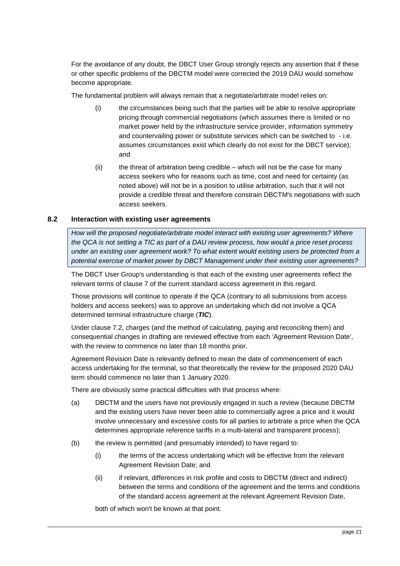For the avoidance of any doubt, the DBCT User Group strongly rejects any assertion that if these or other specific problems of the DBCTM model were corrected the 2019 DAU would somehow become appropriate.

The fundamental problem will always remain that a negotiate/arbitrate model relies on:

- (i) the circumstances being such that the parties will be able to resolve appropriate pricing through commercial negotiations (which assumes there is limited or no market power held by the infrastructure service provider, information symmetry and countervailing power or substitute services which can be switched to - i.e. assumes circumstances exist which clearly do not exist for the DBCT service); and
- (ii) the threat of arbitration being credible which will not be the case for many access seekers who for reasons such as time, cost and need for certainty (as noted above) will not be in a position to utilise arbitration, such that it will not provide a credible threat and therefore constrain DBCTM's negotiations with such access seekers.

#### <span id="page-20-0"></span>**8.2 Interaction with existing user agreements**

*How will the proposed negotiate/arbitrate model interact with existing user agreements? Where the QCA is not setting a TIC as part of a DAU review process, how would a price reset process under an existing user agreement work? To what extent would existing users be protected from a potential exercise of market power by DBCT Management under their existing user agreements?*

The DBCT User Group's understanding is that each of the existing user agreements reflect the relevant terms of clause 7 of the current standard access agreement in this regard.

Those provisions will continue to operate if the QCA (contrary to all submissions from access holders and access seekers) was to approve an undertaking which did not involve a QCA determined terminal infrastructure charge (*TIC*).

Under clause 7.2, charges (and the method of calculating, paying and reconciling them) and consequential changes in drafting are reviewed effective from each 'Agreement Revision Date', with the review to commence no later than 18 months prior.

Agreement Revision Date is relevantly defined to mean the date of commencement of each access undertaking for the terminal, so that theoretically the review for the proposed 2020 DAU term should commence no later than 1 January 2020.

There are obviously some practical difficulties with that process where:

- (a) DBCTM and the users have not previously engaged in such a review (because DBCTM and the existing users have never been able to commercially agree a price and it would involve unnecessary and excessive costs for all parties to arbitrate a price when the QCA determines appropriate reference tariffs in a multi-lateral and transparent process);
- (b) the review is permitted (and presumably intended) to have regard to:
	- (i) the terms of the access undertaking which will be effective from the relevant Agreement Revision Date; and
	- (ii) if relevant, differences in risk profile and costs to DBCTM (direct and indirect) between the terms and conditions of the agreement and the terms and conditions of the standard access agreement at the relevant Agreement Revision Date,

both of which won't be known at that point.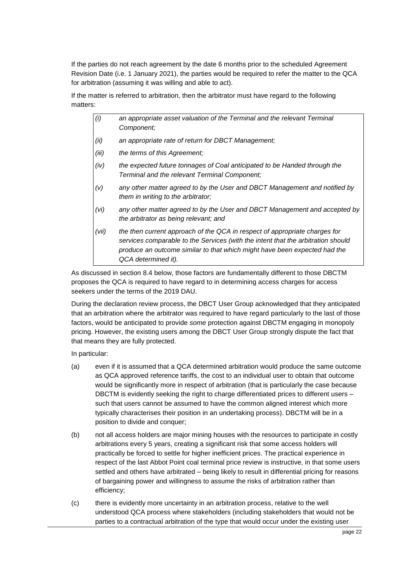If the parties do not reach agreement by the date 6 months prior to the scheduled Agreement Revision Date (i.e. 1 January 2021), the parties would be required to refer the matter to the QCA for arbitration (assuming it was willing and able to act).

If the matter is referred to arbitration, then the arbitrator must have regard to the following matters:

- *(i) an appropriate asset valuation of the Terminal and the relevant Terminal Component;*
- *(ii) an appropriate rate of return for DBCT Management;*
- *(iii) the terms of this Agreement;*
- *(iv) the expected future tonnages of Coal anticipated to be Handed through the Terminal and the relevant Terminal Component;*
- *(v) any other matter agreed to by the User and DBCT Management and notified by them in writing to the arbitrator;*
- *(vi) any other matter agreed to by the User and DBCT Management and accepted by the arbitrator as being relevant; and*
- *(vii) the then current approach of the QCA in respect of appropriate charges for services comparable to the Services (with the intent that the arbitration should produce an outcome similar to that which might have been expected had the QCA determined it).*

As discussed in section [8.4](#page-23-0) below, those factors are fundamentally different to those DBCTM proposes the QCA is required to have regard to in determining access charges for access seekers under the terms of the 2019 DAU.

During the declaration review process, the DBCT User Group acknowledged that they anticipated that an arbitration where the arbitrator was required to have regard particularly to the last of those factors, would be anticipated to provide *some* protection against DBCTM engaging in monopoly pricing. However, the existing users among the DBCT User Group strongly dispute the fact that that means they are fully protected.

In particular:

- (a) even if it is assumed that a QCA determined arbitration would produce the same outcome as QCA approved reference tariffs, the cost to an individual user to obtain that outcome would be significantly more in respect of arbitration (that is particularly the case because DBCTM is evidently seeking the right to charge differentiated prices to different users – such that users cannot be assumed to have the common aligned interest which more typically characterises their position in an undertaking process). DBCTM will be in a position to divide and conquer;
- (b) not all access holders are major mining houses with the resources to participate in costly arbitrations every 5 years, creating a significant risk that some access holders will practically be forced to settle for higher inefficient prices. The practical experience in respect of the last Abbot Point coal terminal price review is instructive, in that some users settled and others have arbitrated – being likely to result in differential pricing for reasons of bargaining power and willingness to assume the risks of arbitration rather than efficiency;
- (c) there is evidently more uncertainty in an arbitration process, relative to the well understood QCA process where stakeholders (including stakeholders that would not be parties to a contractual arbitration of the type that would occur under the existing user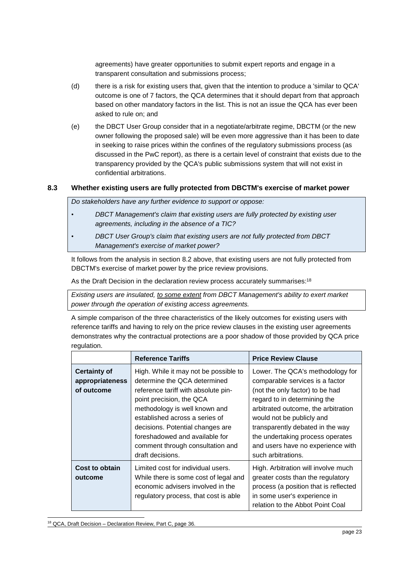agreements) have greater opportunities to submit expert reports and engage in a transparent consultation and submissions process;

- (d) there is a risk for existing users that, given that the intention to produce a 'similar to QCA' outcome is one of 7 factors, the QCA determines that it should depart from that approach based on other mandatory factors in the list. This is not an issue the QCA has ever been asked to rule on; and
- (e) the DBCT User Group consider that in a negotiate/arbitrate regime, DBCTM (or the new owner following the proposed sale) will be even more aggressive than it has been to date in seeking to raise prices within the confines of the regulatory submissions process (as discussed in the PwC report), as there is a certain level of constraint that exists due to the transparency provided by the QCA's public submissions system that will not exist in confidential arbitrations.

# <span id="page-22-0"></span>**8.3 Whether existing users are fully protected from DBCTM's exercise of market power**

*Do stakeholders have any further evidence to support or oppose:*

- *DBCT Management's claim that existing users are fully protected by existing user agreements, including in the absence of a TIC?*
- *DBCT User Group's claim that existing users are not fully protected from DBCT Management's exercise of market power?*

It follows from the analysis in section [8.2](#page-20-0) above, that existing users are not fully protected from DBCTM's exercise of market power by the price review provisions.

As the Draft Decision in the declaration review process accurately summarises:<sup>18</sup>

*Existing users are insulated, to some extent from DBCT Management's ability to exert market power through the operation of existing access agreements.*

A simple comparison of the three characteristics of the likely outcomes for existing users with reference tariffs and having to rely on the price review clauses in the existing user agreements demonstrates why the contractual protections are a poor shadow of those provided by QCA price regulation.

|                                                      | <b>Reference Tariffs</b>                                                                                                                                                                                                                                                                                                                  | <b>Price Review Clause</b>                                                                                                                                                                                                                                                                                                                    |
|------------------------------------------------------|-------------------------------------------------------------------------------------------------------------------------------------------------------------------------------------------------------------------------------------------------------------------------------------------------------------------------------------------|-----------------------------------------------------------------------------------------------------------------------------------------------------------------------------------------------------------------------------------------------------------------------------------------------------------------------------------------------|
| <b>Certainty of</b><br>appropriateness<br>of outcome | High. While it may not be possible to<br>determine the QCA determined<br>reference tariff with absolute pin-<br>point precision, the QCA<br>methodology is well known and<br>established across a series of<br>decisions. Potential changes are<br>foreshadowed and available for<br>comment through consultation and<br>draft decisions. | Lower. The QCA's methodology for<br>comparable services is a factor<br>(not the only factor) to be had<br>regard to in determining the<br>arbitrated outcome, the arbitration<br>would not be publicly and<br>transparently debated in the way<br>the undertaking process operates<br>and users have no experience with<br>such arbitrations. |
| Cost to obtain<br>outcome                            | Limited cost for individual users.<br>While there is some cost of legal and<br>economic advisers involved in the<br>regulatory process, that cost is able                                                                                                                                                                                 | High. Arbitration will involve much<br>greater costs than the regulatory<br>process (a position that is reflected<br>in some user's experience in<br>relation to the Abbot Point Coal                                                                                                                                                         |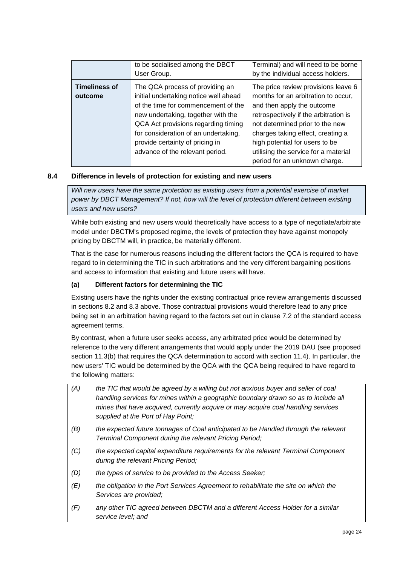|                      | to be socialised among the DBCT       | Terminal) and will need to be borne   |
|----------------------|---------------------------------------|---------------------------------------|
|                      | User Group.                           | by the individual access holders.     |
| <b>Timeliness of</b> | The QCA process of providing an       | The price review provisions leave 6   |
| outcome              | initial undertaking notice well ahead | months for an arbitration to occur,   |
|                      | of the time for commencement of the   | and then apply the outcome            |
|                      | new undertaking, together with the    | retrospectively if the arbitration is |
|                      | QCA Act provisions regarding timing   | not determined prior to the new       |
|                      | for consideration of an undertaking,  | charges taking effect, creating a     |
|                      | provide certainty of pricing in       | high potential for users to be        |
|                      | advance of the relevant period.       | utilising the service for a material  |
|                      |                                       | period for an unknown charge.         |

# <span id="page-23-0"></span>**8.4 Difference in levels of protection for existing and new users**

*Will new users have the same protection as existing users from a potential exercise of market power by DBCT Management? If not, how will the level of protection different between existing users and new users?*

While both existing and new users would theoretically have access to a type of negotiate/arbitrate model under DBCTM's proposed regime, the levels of protection they have against monopoly pricing by DBCTM will, in practice, be materially different.

That is the case for numerous reasons including the different factors the QCA is required to have regard to in determining the TIC in such arbitrations and the very different bargaining positions and access to information that existing and future users will have.

# **(a) Different factors for determining the TIC**

Existing users have the rights under the existing contractual price review arrangements discussed in sections [8.2](#page-20-0) and [8.3](#page-22-0) above. Those contractual provisions would therefore lead to any price being set in an arbitration having regard to the factors set out in clause 7.2 of the standard access agreement terms.

By contrast, when a future user seeks access, any arbitrated price would be determined by reference to the very different arrangements that would apply under the 2019 DAU (see proposed section 11.3(b) that requires the QCA determination to accord with section 11.4). In particular, the new users' TIC would be determined by the QCA with the QCA being required to have regard to the following matters:

| (A) | the TIC that would be agreed by a willing but not anxious buyer and seller of coal<br>handling services for mines within a geographic boundary drawn so as to include all<br>mines that have acquired, currently acquire or may acquire coal handling services<br>supplied at the Port of Hay Point; |
|-----|------------------------------------------------------------------------------------------------------------------------------------------------------------------------------------------------------------------------------------------------------------------------------------------------------|
| (B) | the expected future tonnages of Coal anticipated to be Handled through the relevant<br>Terminal Component during the relevant Pricing Period;                                                                                                                                                        |
| (C) | the expected capital expenditure requirements for the relevant Terminal Component<br>during the relevant Pricing Period;                                                                                                                                                                             |
| (D) | the types of service to be provided to the Access Seeker;                                                                                                                                                                                                                                            |
| (E) | the obligation in the Port Services Agreement to rehabilitate the site on which the<br>Services are provided;                                                                                                                                                                                        |
| (F) | any other TIC agreed between DBCTM and a different Access Holder for a similar<br>service level; and                                                                                                                                                                                                 |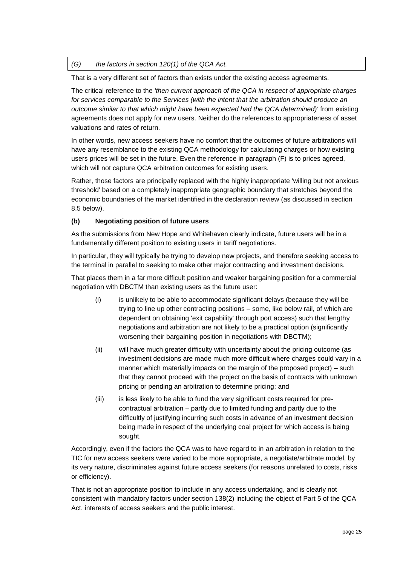#### *(G) the factors in section 120(1) of the QCA Act.*

That is a very different set of factors than exists under the existing access agreements.

The critical reference to the *'then current approach of the QCA in respect of appropriate charges*  for services comparable to the Services (with the intent that the arbitration should produce an *outcome similar to that which might have been expected had the QCA determined)'* from existing agreements does not apply for new users. Neither do the references to appropriateness of asset valuations and rates of return.

In other words, new access seekers have no comfort that the outcomes of future arbitrations will have any resemblance to the existing QCA methodology for calculating charges or how existing users prices will be set in the future. Even the reference in paragraph (F) is to prices agreed, which will not capture QCA arbitration outcomes for existing users.

Rather, those factors are principally replaced with the highly inappropriate 'willing but not anxious threshold' based on a completely inappropriate geographic boundary that stretches beyond the economic boundaries of the market identified in the declaration review (as discussed in section [8.5](#page-25-0) below).

#### **(b) Negotiating position of future users**

As the submissions from New Hope and Whitehaven clearly indicate, future users will be in a fundamentally different position to existing users in tariff negotiations.

In particular, they will typically be trying to develop new projects, and therefore seeking access to the terminal in parallel to seeking to make other major contracting and investment decisions.

That places them in a far more difficult position and weaker bargaining position for a commercial negotiation with DBCTM than existing users as the future user:

- (i) is unlikely to be able to accommodate significant delays (because they will be trying to line up other contracting positions – some, like below rail, of which are dependent on obtaining 'exit capability' through port access) such that lengthy negotiations and arbitration are not likely to be a practical option (significantly worsening their bargaining position in negotiations with DBCTM);
- (ii) will have much greater difficulty with uncertainty about the pricing outcome (as investment decisions are made much more difficult where charges could vary in a manner which materially impacts on the margin of the proposed project) – such that they cannot proceed with the project on the basis of contracts with unknown pricing or pending an arbitration to determine pricing; and
- (iii) is less likely to be able to fund the very significant costs required for precontractual arbitration – partly due to limited funding and partly due to the difficultly of justifying incurring such costs in advance of an investment decision being made in respect of the underlying coal project for which access is being sought.

Accordingly, even if the factors the QCA was to have regard to in an arbitration in relation to the TIC for new access seekers were varied to be more appropriate, a negotiate/arbitrate model, by its very nature, discriminates against future access seekers (for reasons unrelated to costs, risks or efficiency).

That is not an appropriate position to include in any access undertaking, and is clearly not consistent with mandatory factors under section 138(2) including the object of Part 5 of the QCA Act, interests of access seekers and the public interest.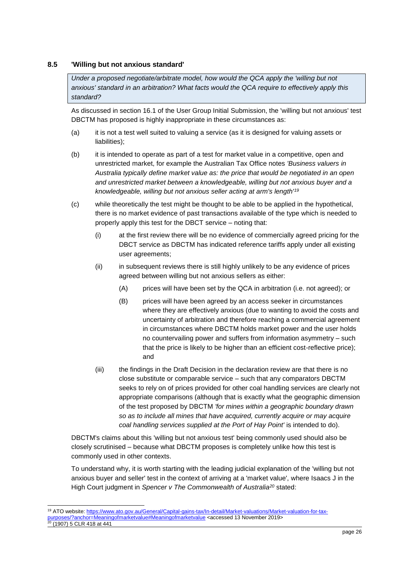#### <span id="page-25-0"></span>**8.5 'Willing but not anxious standard'**

*Under a proposed negotiate/arbitrate model, how would the QCA apply the 'willing but not anxious' standard in an arbitration? What facts would the QCA require to effectively apply this standard?*

As discussed in section 16.1 of the User Group Initial Submission, the 'willing but not anxious' test DBCTM has proposed is highly inappropriate in these circumstances as:

- (a) it is not a test well suited to valuing a service (as it is designed for valuing assets or liabilities);
- (b) it is intended to operate as part of a test for market value in a competitive, open and unrestricted market, for example the Australian Tax Office notes *'Business valuers in Australia typically define market value as: the price that would be negotiated in an open and unrestricted market between a knowledgeable, willing but not anxious buyer and a knowledgeable, willing but not anxious seller acting at arm's length'<sup>19</sup>*
- (c) while theoretically the test might be thought to be able to be applied in the hypothetical, there is no market evidence of past transactions available of the type which is needed to properly apply this test for the DBCT service – noting that:
	- (i) at the first review there will be no evidence of commercially agreed pricing for the DBCT service as DBCTM has indicated reference tariffs apply under all existing user agreements;
	- (ii) in subsequent reviews there is still highly unlikely to be any evidence of prices agreed between willing but not anxious sellers as either:
		- (A) prices will have been set by the QCA in arbitration (i.e. not agreed); or
		- (B) prices will have been agreed by an access seeker in circumstances where they are effectively anxious (due to wanting to avoid the costs and uncertainty of arbitration and therefore reaching a commercial agreement in circumstances where DBCTM holds market power and the user holds no countervailing power and suffers from information asymmetry – such that the price is likely to be higher than an efficient cost-reflective price); and
	- (iii) the findings in the Draft Decision in the declaration review are that there is no close substitute or comparable service – such that any comparators DBCTM seeks to rely on of prices provided for other coal handling services are clearly not appropriate comparisons (although that is exactly what the geographic dimension of the test proposed by DBCTM *'for mines within a geographic boundary drawn so as to include all mines that have acquired, currently acquire or may acquire coal handling services supplied at the Port of Hay Point'* is intended to do).

DBCTM's claims about this 'willing but not anxious test' being commonly used should also be closely scrutinised – because what DBCTM proposes is completely unlike how this test is commonly used in other contexts.

To understand why, it is worth starting with the leading judicial explanation of the 'willing but not anxious buyer and seller' test in the context of arriving at a 'market value', where Isaacs J in the High Court judgment in *Spencer v The Commonwealth of Australia<sup>20</sup>* stated:

1

<sup>19</sup> ATO website: [https://www.ato.gov.au/General/Capital-gains-tax/In-detail/Market-valuations/Market-valuation-for-tax](https://www.ato.gov.au/General/Capital-gains-tax/In-detail/Market-valuations/Market-valuation-for-tax-purposes/?anchor=Meaningofmarketvalue#Meaningofmarketvalue)[purposes/?anchor=Meaningofmarketvalue#Meaningofmarketvalue](https://www.ato.gov.au/General/Capital-gains-tax/In-detail/Market-valuations/Market-valuation-for-tax-purposes/?anchor=Meaningofmarketvalue#Meaningofmarketvalue) <accessed 13 November 2019>20 (1007) E CLD 410 at 444 (1907) 5 CLR 418 at 441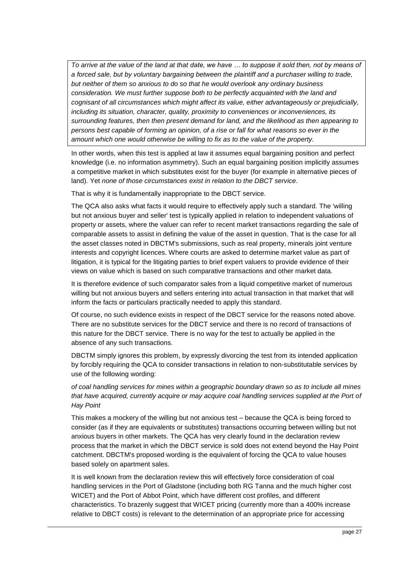*To arrive at the value of the land at that date, we have … to suppose it sold then, not by means of a forced sale, but by voluntary bargaining between the plaintiff and a purchaser willing to trade, but neither of them so anxious to do so that he would overlook any ordinary business consideration. We must further suppose both to be perfectly acquainted with the land and cognisant of all circumstances which might affect its value, either advantageously or prejudicially, including its situation, character, quality, proximity to conveniences or inconveniences, its surrounding features, then then present demand for land, and the likelihood as then appearing to persons best capable of forming an opinion, of a rise or fall for what reasons so ever in the amount which one would otherwise be willing to fix as to the value of the property.*

In other words, when this test is applied at law it assumes equal bargaining position and perfect knowledge (i.e. no information asymmetry). Such an equal bargaining position implicitly assumes a competitive market in which substitutes exist for the buyer (for example in alternative pieces of land). Yet *none of those circumstances exist in relation to the DBCT service*.

That is why it is fundamentally inappropriate to the DBCT service.

The QCA also asks what facts it would require to effectively apply such a standard. The 'willing but not anxious buyer and seller' test is typically applied in relation to independent valuations of property or assets, where the valuer can refer to recent market transactions regarding the sale of comparable assets to assist in defining the value of the asset in question. That is the case for all the asset classes noted in DBCTM's submissions, such as real property, minerals joint venture interests and copyright licences. Where courts are asked to determine market value as part of litigation, it is typical for the litigating parties to brief expert valuers to provide evidence of their views on value which is based on such comparative transactions and other market data.

It is therefore evidence of such comparator sales from a liquid competitive market of numerous willing but not anxious buyers and sellers entering into actual transaction in that market that will inform the facts or particulars practically needed to apply this standard.

Of course, no such evidence exists in respect of the DBCT service for the reasons noted above. There are no substitute services for the DBCT service and there is no record of transactions of this nature for the DBCT service. There is no way for the test to actually be applied in the absence of any such transactions.

DBCTM simply ignores this problem, by expressly divorcing the test from its intended application by forcibly requiring the QCA to consider transactions in relation to non-substitutable services by use of the following wording:

*of coal handling services for mines within a geographic boundary drawn so as to include all mines that have acquired, currently acquire or may acquire coal handling services supplied at the Port of Hay Point*

This makes a mockery of the willing but not anxious test – because the QCA is being forced to consider (as if they are equivalents or substitutes) transactions occurring between willing but not anxious buyers in other markets. The QCA has very clearly found in the declaration review process that the market in which the DBCT service is sold does not extend beyond the Hay Point catchment. DBCTM's proposed wording is the equivalent of forcing the QCA to value houses based solely on apartment sales.

It is well known from the declaration review this will effectively force consideration of coal handling services in the Port of Gladstone (including both RG Tanna and the much higher cost WICET) and the Port of Abbot Point, which have different cost profiles, and different characteristics. To brazenly suggest that WICET pricing (currently more than a 400% increase relative to DBCT costs) is relevant to the determination of an appropriate price for accessing